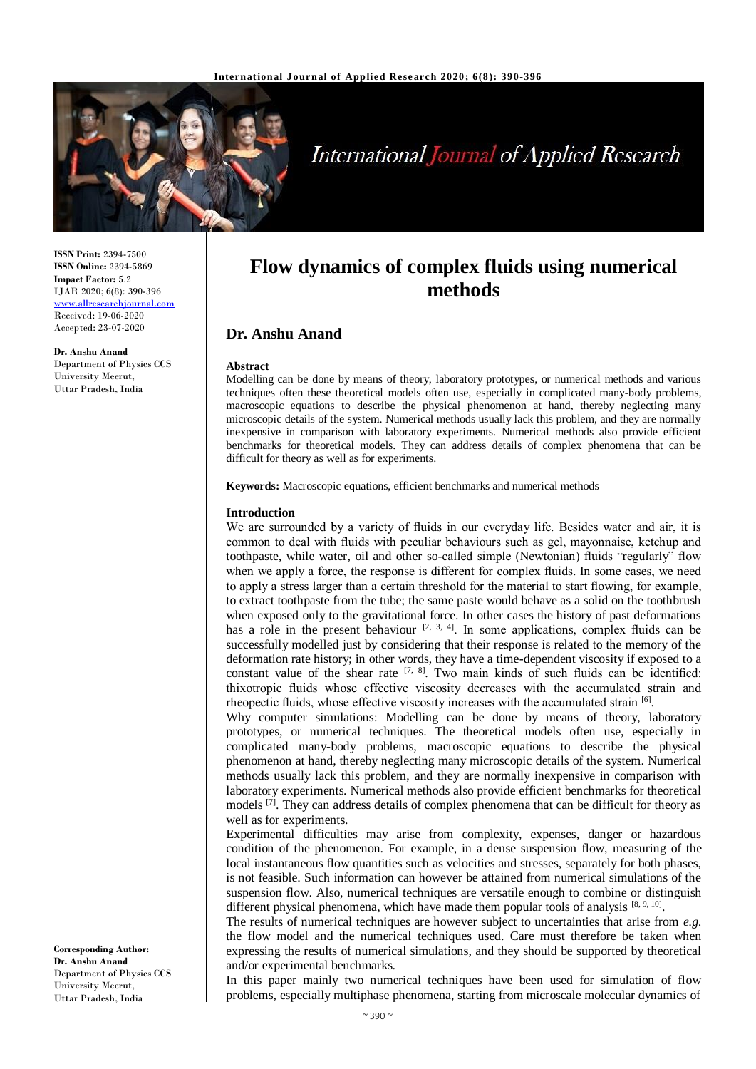

# **International Journal of Applied Research**

**ISSN Print:** 2394-7500 **ISSN Online:** 2394-5869 **Impact Factor:** 5.2 IJAR 2020; 6(8): 390-396 [www.allresearchjournal.com](http://www.allresearchjournal.com/) Received: 19-06-2020 Accepted: 23-07-2020

**Dr. Anshu Anand** Department of Physics CCS University Meerut, Uttar Pradesh, India

**Flow dynamics of complex fluids using numerical methods**

## **Dr. Anshu Anand**

#### **Abstract**

Modelling can be done by means of theory, laboratory prototypes, or numerical methods and various techniques often these theoretical models often use, especially in complicated many-body problems, macroscopic equations to describe the physical phenomenon at hand, thereby neglecting many microscopic details of the system. Numerical methods usually lack this problem, and they are normally inexpensive in comparison with laboratory experiments. Numerical methods also provide efficient benchmarks for theoretical models. They can address details of complex phenomena that can be difficult for theory as well as for experiments.

**Keywords:** Macroscopic equations, efficient benchmarks and numerical methods

#### **Introduction**

We are surrounded by a variety of fluids in our everyday life. Besides water and air, it is common to deal with fluids with peculiar behaviours such as gel, mayonnaise, ketchup and toothpaste, while water, oil and other so-called simple (Newtonian) fluids "regularly" flow when we apply a force, the response is different for complex fluids. In some cases, we need to apply a stress larger than a certain threshold for the material to start flowing, for example, to extract toothpaste from the tube; the same paste would behave as a solid on the toothbrush when exposed only to the gravitational force. In other cases the history of past deformations has a role in the present behaviour  $[2, 3, 4]$ . In some applications, complex fluids can be successfully modelled just by considering that their response is related to the memory of the deformation rate history; in other words, they have a time-dependent viscosity if exposed to a constant value of the shear rate  $[7, 8]$ . Two main kinds of such fluids can be identified: thixotropic fluids whose effective viscosity decreases with the accumulated strain and rheopectic fluids, whose effective viscosity increases with the accumulated strain [6].

Why computer simulations: Modelling can be done by means of theory, laboratory prototypes, or numerical techniques. The theoretical models often use, especially in complicated many-body problems, macroscopic equations to describe the physical phenomenon at hand, thereby neglecting many microscopic details of the system. Numerical methods usually lack this problem, and they are normally inexpensive in comparison with laboratory experiments. Numerical methods also provide efficient benchmarks for theoretical models <sup>[7]</sup>. They can address details of complex phenomena that can be difficult for theory as well as for experiments.

Experimental difficulties may arise from complexity, expenses, danger or hazardous condition of the phenomenon. For example, in a dense suspension flow, measuring of the local instantaneous flow quantities such as velocities and stresses, separately for both phases, is not feasible. Such information can however be attained from numerical simulations of the suspension flow. Also, numerical techniques are versatile enough to combine or distinguish different physical phenomena, which have made them popular tools of analysis  $[8, 9, 10]$ .

The results of numerical techniques are however subject to uncertainties that arise from *e.g.*  the flow model and the numerical techniques used. Care must therefore be taken when expressing the results of numerical simulations, and they should be supported by theoretical and/or experimental benchmarks.

In this paper mainly two numerical techniques have been used for simulation of flow problems, especially multiphase phenomena, starting from microscale molecular dynamics of

**Corresponding Author: Dr. Anshu Anand** Department of Physics CCS University Meerut, Uttar Pradesh, India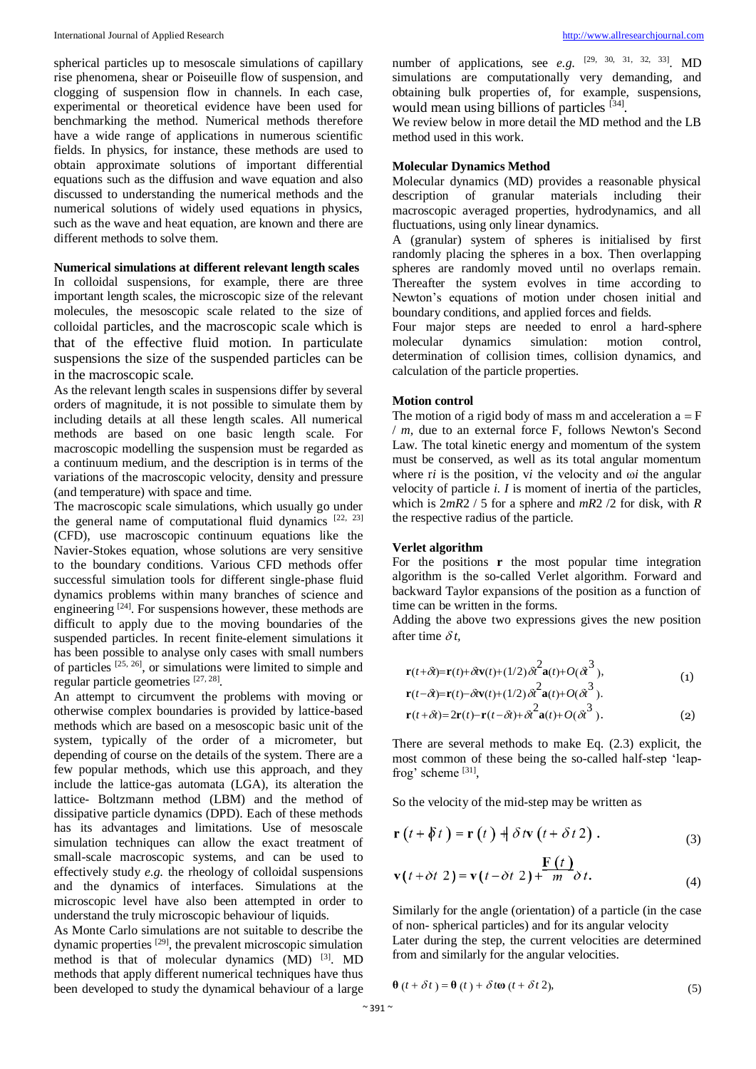spherical particles up to mesoscale simulations of capillary rise phenomena, shear or Poiseuille flow of suspension, and clogging of suspension flow in channels. In each case, experimental or theoretical evidence have been used for benchmarking the method. Numerical methods therefore have a wide range of applications in numerous scientific fields. In physics, for instance, these methods are used to obtain approximate solutions of important differential equations such as the diffusion and wave equation and also discussed to understanding the numerical methods and the numerical solutions of widely used equations in physics, such as the wave and heat equation, are known and there are different methods to solve them.

## **Numerical simulations at different relevant length scales**

In colloidal suspensions, for example, there are three important length scales, the microscopic size of the relevant molecules, the mesoscopic scale related to the size of colloidal particles, and the macroscopic scale which is that of the effective fluid motion. In particulate suspensions the size of the suspended particles can be in the macroscopic scale.

As the relevant length scales in suspensions differ by several orders of magnitude, it is not possible to simulate them by including details at all these length scales. All numerical methods are based on one basic length scale. For macroscopic modelling the suspension must be regarded as a continuum medium, and the description is in terms of the variations of the macroscopic velocity, density and pressure (and temperature) with space and time.

The macroscopic scale simulations, which usually go under the general name of computational fluid dynamics  $[22, 23]$ (CFD), use macroscopic continuum equations like the Navier-Stokes equation, whose solutions are very sensitive to the boundary conditions. Various CFD methods offer successful simulation tools for different single-phase fluid dynamics problems within many branches of science and engineering  $[24]$ . For suspensions however, these methods are difficult to apply due to the moving boundaries of the suspended particles. In recent finite-element simulations it has been possible to analyse only cases with small numbers of particles  $[25, 26]$ , or simulations were limited to simple and regular particle geometries [27, 28].

An attempt to circumvent the problems with moving or otherwise complex boundaries is provided by lattice-based methods which are based on a mesoscopic basic unit of the system, typically of the order of a micrometer, but depending of course on the details of the system. There are a few popular methods, which use this approach, and they include the lattice-gas automata (LGA), its alteration the lattice- Boltzmann method (LBM) and the method of dissipative particle dynamics (DPD). Each of these methods has its advantages and limitations. Use of mesoscale simulation techniques can allow the exact treatment of small-scale macroscopic systems, and can be used to effectively study *e.g.* the rheology of colloidal suspensions and the dynamics of interfaces. Simulations at the microscopic level have also been attempted in order to understand the truly microscopic behaviour of liquids.

As Monte Carlo simulations are not suitable to describe the dynamic properties <sup>[29]</sup>, the prevalent microscopic simulation method is that of molecular dynamics (MD) <sup>[3]</sup>. MD methods that apply different numerical techniques have thus been developed to study the dynamical behaviour of a large

number of applications, see *e.g.*  $[29, 30, 31, 32, 33]$ . MD simulations are computationally very demanding, and obtaining bulk properties of, for example, suspensions, would mean using billions of particles [34].

We review below in more detail the MD method and the LB method used in this work.

#### **Molecular Dynamics Method**

Molecular dynamics (MD) provides a reasonable physical description of granular materials including their macroscopic averaged properties, hydrodynamics, and all fluctuations, using only linear dynamics.

A (granular) system of spheres is initialised by first randomly placing the spheres in a box. Then overlapping spheres are randomly moved until no overlaps remain. Thereafter the system evolves in time according to Newton's equations of motion under chosen initial and boundary conditions, and applied forces and fields.

Four major steps are needed to enrol a hard-sphere molecular dynamics simulation: motion control, determination of collision times, collision dynamics, and calculation of the particle properties.

#### **Motion control**

The motion of a rigid body of mass m and acceleration  $a = F$ / *m,* due to an external force F, follows Newton's Second Law. The total kinetic energy and momentum of the system must be conserved, as well as its total angular momentum where r*i* is the position, v*i* the velocity and ω*i* the angular velocity of particle *i. I* is moment of inertia of the particles, which is 2*mR*2 / 5 for a sphere and *mR*2 /2 for disk, with *R*  the respective radius of the particle.

#### **Verlet algorithm**

For the positions **r** the most popular time integration algorithm is the so-called Verlet algorithm. Forward and backward Taylor expansions of the position as a function of time can be written in the forms.

Adding the above two expressions gives the new position after time  $\delta t$ .

$$
\mathbf{r}(t+\delta t) = \mathbf{r}(t) + \delta t \mathbf{v}(t) + (1/2) \delta t^2 \mathbf{a}(t) + O(\delta t^3),
$$
  
\n
$$
\mathbf{r}(t-\delta t) = \mathbf{r}(t) - \delta t \mathbf{v}(t) + (1/2) \delta t^2 \mathbf{a}(t) + O(\delta t^3).
$$
 (1)

$$
\mathbf{r}(t+\delta t) = 2\mathbf{r}(t) - \mathbf{r}(t-\delta t) + \delta t^2 \mathbf{a}(t) + O(\delta t^3). \tag{2}
$$

There are several methods to make Eq. (2.3) explicit, the most common of these being the so-called half-step 'leapfrog' scheme [31],

So the velocity of the mid-step may be written as

$$
\mathbf{r}\left(t+\delta t\right)=\mathbf{r}\left(t\right)+\delta t\mathbf{v}\left(t+\delta t\,2\right). \tag{3}
$$

 $\mathbf{r}$   $\alpha$ 

$$
\mathbf{v}(t+\delta t\ 2) = \mathbf{v}(t-\delta t\ 2) + \frac{\mathbf{F}(t)}{m}\delta t.
$$
 (4)

Similarly for the angle (orientation) of a particle (in the case of non- spherical particles) and for its angular velocity

Later during the step, the current velocities are determined from and similarly for the angular velocities.

$$
\boldsymbol{\theta} (t + \delta t) = \boldsymbol{\theta} (t) + \delta t \boldsymbol{\omega} (t + \delta t \, 2), \tag{5}
$$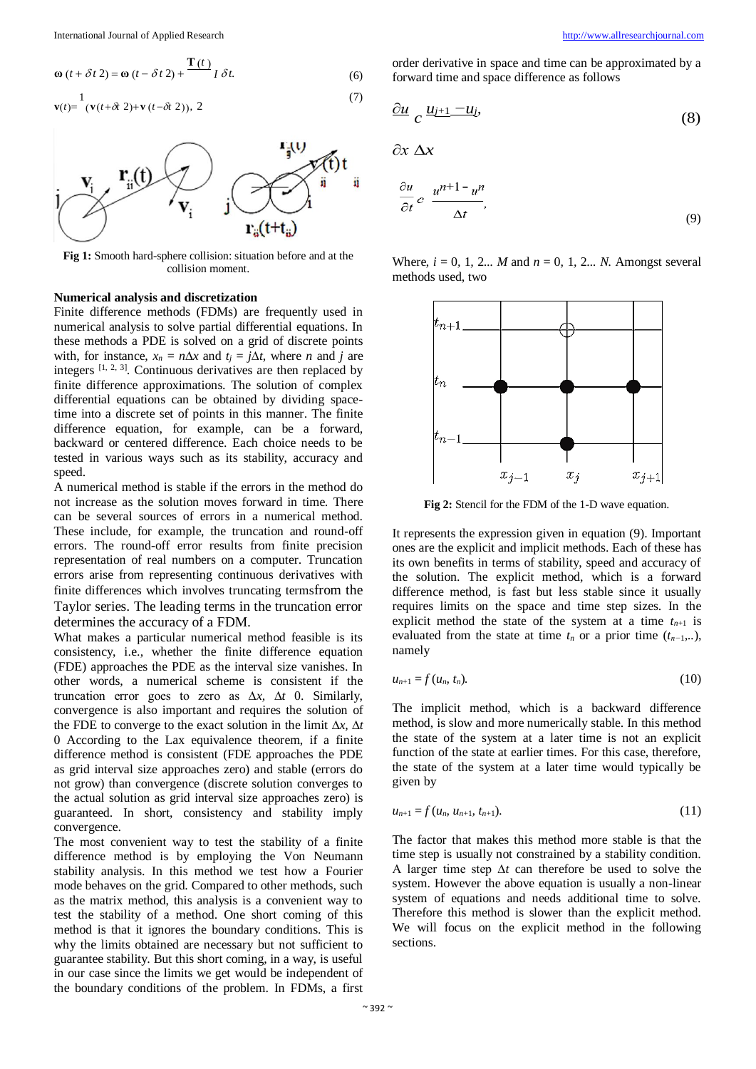International Journal of Applied Research [http://www.allresearchjournal.com](http://www.allresearchjournal.com/)

$$
\mathbf{\omega}\,(t+\delta t\,2) = \mathbf{\omega}\,(t-\delta t\,2) + \frac{\mathbf{T}\,(t)}{I\,\delta t}.
$$
\n<sup>(6)</sup>

$$
\mathbf{v}(t) = \frac{1}{(\mathbf{v}(t+\delta t \ 2)+\mathbf{v}(t-\delta t \ 2)), \ 2}
$$
\n<sup>(7)</sup>



**Fig 1:** Smooth hard-sphere collision: situation before and at the collision moment.

### **Numerical analysis and discretization**

Finite difference methods (FDMs) are frequently used in numerical analysis to solve partial differential equations. In these methods a PDE is solved on a grid of discrete points with, for instance,  $x_n = n\Delta x$  and  $t_i = i\Delta t$ , where *n* and *j* are integers  $[1, 2, 3]$ . Continuous derivatives are then replaced by finite difference approximations. The solution of complex differential equations can be obtained by dividing spacetime into a discrete set of points in this manner. The finite difference equation, for example, can be a forward, backward or centered difference. Each choice needs to be tested in various ways such as its stability, accuracy and speed.

A numerical method is stable if the errors in the method do not increase as the solution moves forward in time. There can be several sources of errors in a numerical method. These include, for example, the truncation and round-off errors. The round-off error results from finite precision representation of real numbers on a computer. Truncation errors arise from representing continuous derivatives with finite differences which involves truncating termsfrom the Taylor series. The leading terms in the truncation error determines the accuracy of a FDM.

What makes a particular numerical method feasible is its consistency, i.e., whether the finite difference equation (FDE) approaches the PDE as the interval size vanishes. In other words, a numerical scheme is consistent if the truncation error goes to zero as ∆*x,* ∆*t* 0. Similarly, convergence is also important and requires the solution of the FDE to converge to the exact solution in the limit ∆*x,* ∆*t* 0 According to the Lax equivalence theorem, if a finite difference method is consistent (FDE approaches the PDE as grid interval size approaches zero) and stable (errors do not grow) than convergence (discrete solution converges to the actual solution as grid interval size approaches zero) is guaranteed. In short, consistency and stability imply convergence.

The most convenient way to test the stability of a finite difference method is by employing the Von Neumann stability analysis. In this method we test how a Fourier mode behaves on the grid. Compared to other methods, such as the matrix method, this analysis is a convenient way to test the stability of a method. One short coming of this method is that it ignores the boundary conditions. This is why the limits obtained are necessary but not sufficient to guarantee stability. But this short coming, in a way, is useful in our case since the limits we get would be independent of the boundary conditions of the problem. In FDMs, a first order derivative in space and time can be approximated by a forward time and space difference as follows

$$
\frac{\partial u}{\partial u} \, c \, \frac{u_{j+1} - u_j}{\partial u} \tag{8}
$$

$$
\partial x \, \Delta x
$$

 $(7)$ 

$$
\frac{\partial u}{\partial t} c \frac{u^{n+1} - u^n}{\Delta t},
$$
\n(9)

Where,  $i = 0, 1, 2...$  *M* and  $n = 0, 1, 2...$  *N.* Amongst several methods used, two



**Fig 2:** Stencil for the FDM of the 1-D wave equation.

It represents the expression given in equation (9). Important ones are the explicit and implicit methods. Each of these has its own benefits in terms of stability, speed and accuracy of the solution. The explicit method, which is a forward difference method, is fast but less stable since it usually requires limits on the space and time step sizes. In the explicit method the state of the system at a time  $t_{n+1}$  is evaluated from the state at time  $t_n$  or a prior time  $(t_{n-1},...),$ namely

$$
u_{n+1}=f(u_n, t_n). \tag{10}
$$

The implicit method, which is a backward difference method, is slow and more numerically stable. In this method the state of the system at a later time is not an explicit function of the state at earlier times. For this case, therefore, the state of the system at a later time would typically be given by

$$
u_{n+1} = f(u_n, u_{n+1}, t_{n+1}). \tag{11}
$$

The factor that makes this method more stable is that the time step is usually not constrained by a stability condition. A larger time step ∆*t* can therefore be used to solve the system. However the above equation is usually a non-linear system of equations and needs additional time to solve. Therefore this method is slower than the explicit method. We will focus on the explicit method in the following sections.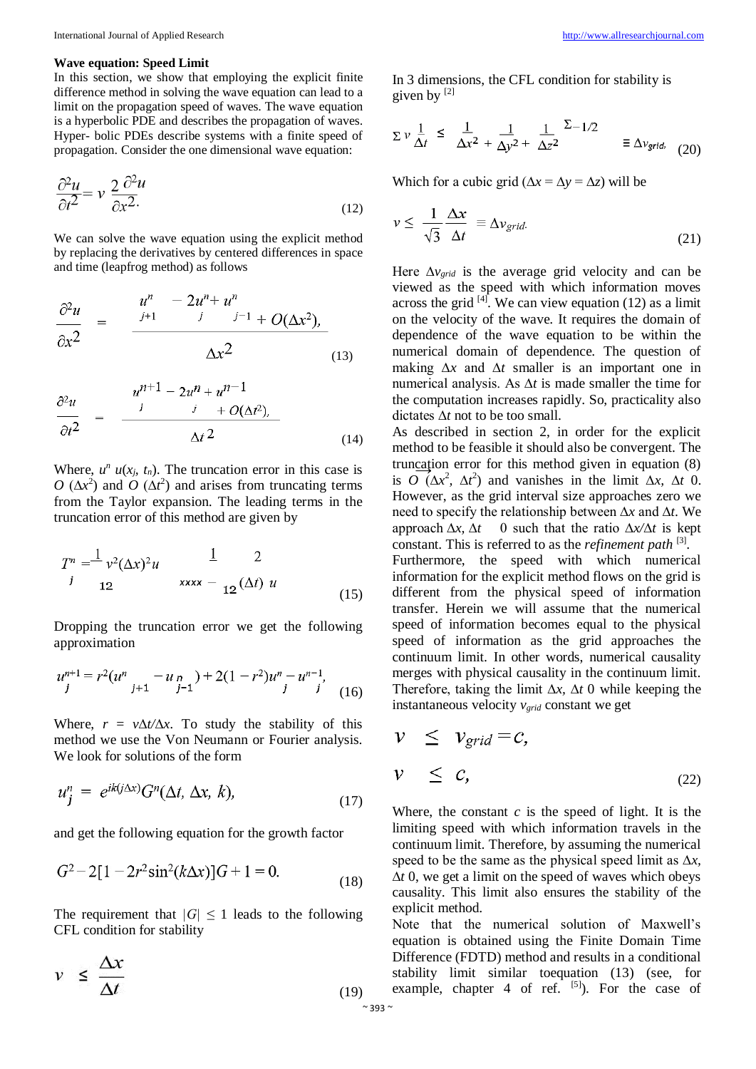#### **Wave equation: Speed Limit**

In this section, we show that employing the explicit finite difference method in solving the wave equation can lead to a limit on the propagation speed of waves. The wave equation is a hyperbolic PDE and describes the propagation of waves. Hyper- bolic PDEs describe systems with a finite speed of propagation. Consider the one dimensional wave equation:

$$
\frac{\partial^2 u}{\partial t^2} = v \frac{2}{\partial x^2}.
$$
 (12)

We can solve the wave equation using the explicit method by replacing the derivatives by centered differences in space and time (leapfrog method) as follows

$$
\frac{\partial^2 u}{\partial x^2} = \frac{u^n - 2u^n + u^n}{\Delta x^2}
$$
\n(13)

$$
\frac{\partial^2 u}{\partial t^2} = \frac{u^{n+1} - 2u^n + u^{n-1}}{v^2 + O(\Delta t^2)} \tag{14}
$$

Where,  $u^n u(x_j, t_n)$ . The truncation error in this case is  $O(\Delta x^2)$  and  $O(\Delta t^2)$  and arises from truncating terms from the Taylor expansion. The leading terms in the truncation error of this method are given by

$$
T^{n} = \frac{1}{v^{2}} \left(\Delta x\right)^{2} u \qquad \frac{1}{x} \qquad 2
$$
  
\n*i* 12 \qquad xxxx - 12 \left(\Delta t\right) u \qquad (15)

Dropping the truncation error we get the following approximation

$$
u_{j}^{n+1} = r^{2}(u_{j+1}^{n} - u_{j-1}^{n}) + 2(1 - r^{2})u_{j}^{n} - u_{j}^{n-1},
$$
  
(16)

Where,  $r = v\Delta t/\Delta x$ . To study the stability of this method we use the Von Neumann or Fourier analysis. We look for solutions of the form

$$
u_j^n = e^{ik(j\Delta x)} G^n(\Delta t, \Delta x, k), \qquad (17)
$$

and get the following equation for the growth factor

$$
G2 - 2[1 - 2r2 sin2(k\Delta x)]G + 1 = 0.
$$
 (18)

The requirement that  $|G| \leq 1$  leads to the following CFL condition for stability

$$
\nu \leq \frac{\Delta x}{\Delta t} \tag{19}
$$

In 3 dimensions, the CFL condition for stability is given by  $[2]$ 

$$
\Sigma v \frac{1}{\Delta t} \leq \frac{1}{\Delta x^2} + \frac{1}{\Delta y^2} + \frac{1}{\Delta z^2} \Sigma^{-1/2} \equiv \Delta v_{grid} \quad (20)
$$

Which for a cubic grid ( $\Delta x = \Delta y = \Delta z$ ) will be

$$
\nu \leq \frac{1}{\sqrt{3}} \frac{\Delta x}{\Delta t} \equiv \Delta v_{grid}. \tag{21}
$$

Here ∆*v*<sub>grid</sub> is the average grid velocity and can be viewed as the speed with which information moves across the grid  $[4]$ . We can view equation (12) as a limit on the velocity of the wave. It requires the domain of dependence of the wave equation to be within the numerical domain of dependence. The question of making ∆*x* and ∆*t* smaller is an important one in numerical analysis. As ∆*t* is made smaller the time for the computation increases rapidly. So, practicality also dictates ∆*t* not to be too small.

truncation error for this method given in equation  $(8)$ As described in section 2, in order for the explicit method to be feasible it should also be convergent. The is *O* ( $\Delta x^2$ ,  $\Delta t^2$ ) and vanishes in the limit  $\Delta x$ ,  $\Delta t$  0. However, as the grid interval size approaches zero we need to specify the relationship between ∆*x* and ∆*t*. We approach ∆*x,* ∆*t* 0 such that the ratio ∆*x/*∆*t* is kept constant. This is referred to as the *refinement path* [3] . Furthermore, the speed with which numerical information for the explicit method flows on the grid is different from the physical speed of information transfer. Herein we will assume that the numerical speed of information becomes equal to the physical speed of information as the grid approaches the continuum limit. In other words, numerical causality merges with physical causality in the continuum limit. Therefore, taking the limit ∆*x,* ∆*t* 0 while keeping the instantaneous velocity *vgrid* constant we get

$$
\begin{array}{rcl}\n\mathcal{V} & \leq & \mathcal{V}_{grid} = \mathcal{C}, \\
\mathcal{V} & \leq & \mathcal{C},\n\end{array}
$$
\n
$$
\begin{array}{rcl}\n\mathcal{V} & & \leq & \mathcal{C},\n\end{array}
$$
\n
$$
\begin{array}{rcl}\n\mathcal{V} & & \leq & \mathcal{C},\n\end{array}
$$
\n
$$
\begin{array}{rcl}\n\mathcal{V} & & \leq & \mathcal{C},\n\end{array}
$$

Where, the constant  $c$  is the speed of light. It is the limiting speed with which information travels in the continuum limit. Therefore, by assuming the numerical speed to be the same as the physical speed limit as ∆*x,*  ∆*t* 0, we get a limit on the speed of waves which obeys causality. This limit also ensures the stability of the explicit method.

Note that the numerical solution of Maxwell's equation is obtained using the Finite Domain Time Difference (FDTD) method and results in a conditional stability limit similar toequation (13) (see, for example, chapter 4 of ref.  $[5]$ ). For the case of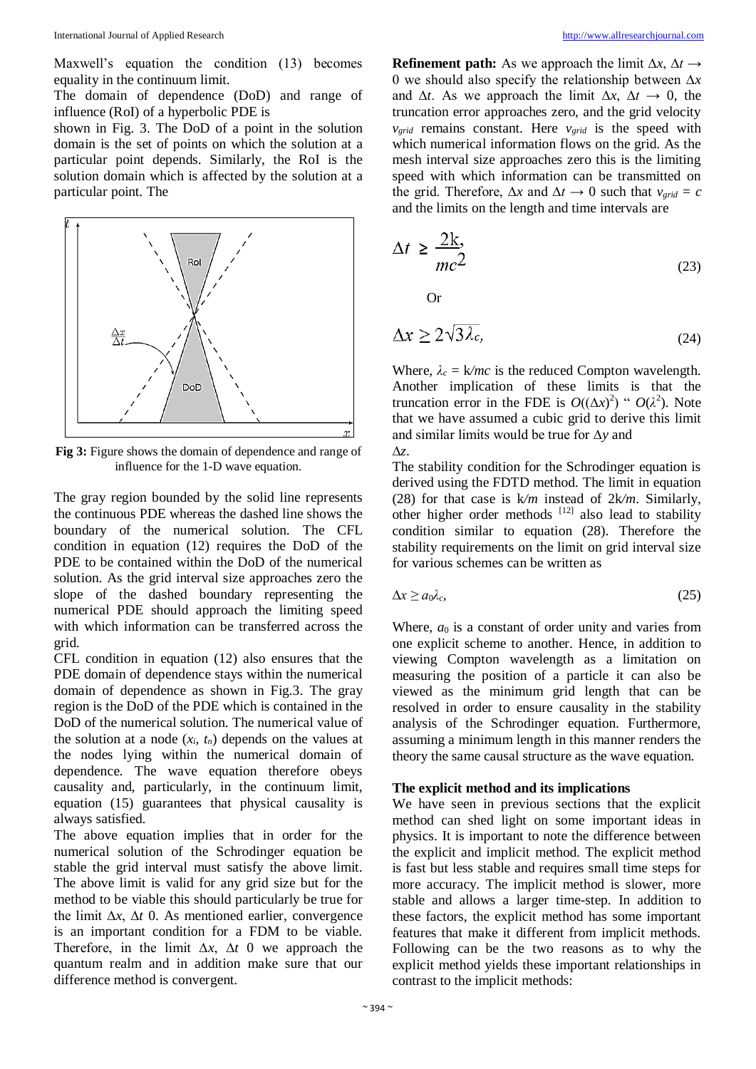Maxwell's equation the condition (13) becomes equality in the continuum limit.

The domain of dependence (DoD) and range of influence (RoI) of a hyperbolic PDE is

shown in Fig. 3. The DoD of a point in the solution domain is the set of points on which the solution at a particular point depends. Similarly, the RoI is the solution domain which is affected by the solution at a particular point. The



**Fig 3:** Figure shows the domain of dependence and range of influence for the 1-D wave equation.

The gray region bounded by the solid line represents the continuous PDE whereas the dashed line shows the boundary of the numerical solution. The CFL condition in equation (12) requires the DoD of the PDE to be contained within the DoD of the numerical solution. As the grid interval size approaches zero the slope of the dashed boundary representing the numerical PDE should approach the limiting speed with which information can be transferred across the grid.

CFL condition in equation (12) also ensures that the PDE domain of dependence stays within the numerical domain of dependence as shown in Fig.3. The gray region is the DoD of the PDE which is contained in the DoD of the numerical solution. The numerical value of the solution at a node  $(x_i, t_n)$  depends on the values at the nodes lying within the numerical domain of dependence. The wave equation therefore obeys causality and, particularly, in the continuum limit, equation (15) guarantees that physical causality is always satisfied.

The above equation implies that in order for the numerical solution of the Schrodinger equation be stable the grid interval must satisfy the above limit. The above limit is valid for any grid size but for the method to be viable this should particularly be true for the limit ∆*x*, ∆*t* 0. As mentioned earlier, convergence is an important condition for a FDM to be viable. Therefore, in the limit ∆*x*, ∆*t* 0 we approach the quantum realm and in addition make sure that our difference method is convergent.

**Refinement path:** As we approach the limit ∆*x*, ∆*t →*  0 we should also specify the relationship between ∆*x*  and  $\Delta t$ . As we approach the limit  $\Delta x$ ,  $\Delta t \rightarrow 0$ , the truncation error approaches zero, and the grid velocity *vgrid* remains constant. Here *vgrid* is the speed with which numerical information flows on the grid. As the mesh interval size approaches zero this is the limiting speed with which information can be transmitted on the grid. Therefore,  $\Delta x$  and  $\Delta t \rightarrow 0$  such that  $v_{grid} = c$ and the limits on the length and time intervals are

$$
\Delta t \ge \frac{2k}{mc^2} \tag{23}
$$

Or

$$
\Delta x \ge 2\sqrt{3\lambda_c},\tag{24}
$$

Where,  $\lambda_c = k/mc$  is the reduced Compton wavelength. Another implication of these limits is that the truncation error in the FDE is  $O((\Delta x)^2)$  "  $O(\lambda^2)$ . Note that we have assumed a cubic grid to derive this limit and similar limits would be true for ∆*y* and ∆*z*.

The stability condition for the Schrodinger equation is derived using the FDTD method. The limit in equation (28) for that case is k*/m* instead of 2k*/m*. Similarly, other higher order methods  $[12]$  also lead to stability condition similar to equation (28). Therefore the stability requirements on the limit on grid interval size for various schemes can be written as

$$
\Delta x \ge a_0 \lambda_c,\tag{25}
$$

Where,  $a_0$  is a constant of order unity and varies from one explicit scheme to another. Hence, in addition to viewing Compton wavelength as a limitation on measuring the position of a particle it can also be viewed as the minimum grid length that can be resolved in order to ensure causality in the stability analysis of the Schrodinger equation. Furthermore, assuming a minimum length in this manner renders the theory the same causal structure as the wave equation.

## **The explicit method and its implications**

We have seen in previous sections that the explicit method can shed light on some important ideas in physics. It is important to note the difference between the explicit and implicit method. The explicit method is fast but less stable and requires small time steps for more accuracy. The implicit method is slower, more stable and allows a larger time-step. In addition to these factors, the explicit method has some important features that make it different from implicit methods. Following can be the two reasons as to why the explicit method yields these important relationships in contrast to the implicit methods: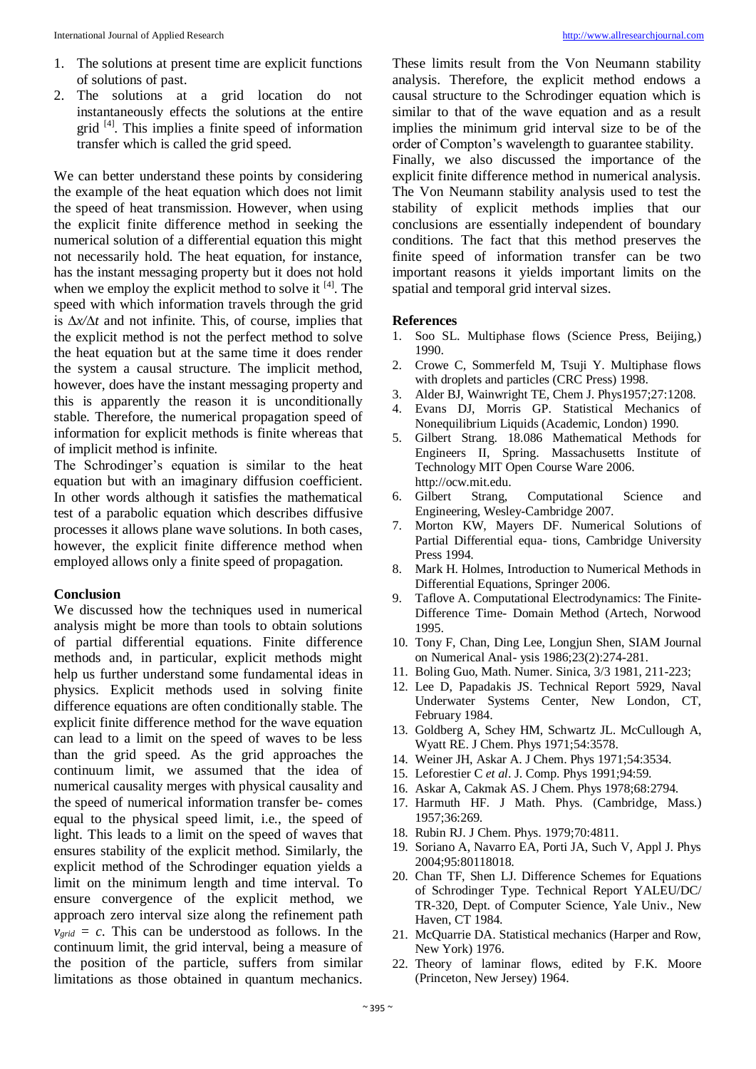- 1. The solutions at present time are explicit functions of solutions of past.
- 2. The solutions at a grid location do not instantaneously effects the solutions at the entire grid [4]. This implies a finite speed of information transfer which is called the grid speed.

We can better understand these points by considering the example of the heat equation which does not limit the speed of heat transmission. However, when using the explicit finite difference method in seeking the numerical solution of a differential equation this might not necessarily hold. The heat equation, for instance, has the instant messaging property but it does not hold when we employ the explicit method to solve it  $[4]$ . The speed with which information travels through the grid is ∆*x/*∆*t* and not infinite. This, of course, implies that the explicit method is not the perfect method to solve the heat equation but at the same time it does render the system a causal structure. The implicit method, however, does have the instant messaging property and this is apparently the reason it is unconditionally stable. Therefore, the numerical propagation speed of information for explicit methods is finite whereas that of implicit method is infinite.

The Schrodinger's equation is similar to the heat equation but with an imaginary diffusion coefficient. In other words although it satisfies the mathematical test of a parabolic equation which describes diffusive processes it allows plane wave solutions. In both cases, however, the explicit finite difference method when employed allows only a finite speed of propagation.

#### **Conclusion**

We discussed how the techniques used in numerical analysis might be more than tools to obtain solutions of partial differential equations. Finite difference methods and, in particular, explicit methods might help us further understand some fundamental ideas in physics. Explicit methods used in solving finite difference equations are often conditionally stable. The explicit finite difference method for the wave equation can lead to a limit on the speed of waves to be less than the grid speed. As the grid approaches the continuum limit, we assumed that the idea of numerical causality merges with physical causality and the speed of numerical information transfer be- comes equal to the physical speed limit, i.e., the speed of light. This leads to a limit on the speed of waves that ensures stability of the explicit method. Similarly, the explicit method of the Schrodinger equation yields a limit on the minimum length and time interval. To ensure convergence of the explicit method, we approach zero interval size along the refinement path  $v_{grid} = c$ . This can be understood as follows. In the continuum limit, the grid interval, being a measure of the position of the particle, suffers from similar limitations as those obtained in quantum mechanics.

These limits result from the Von Neumann stability analysis. Therefore, the explicit method endows a causal structure to the Schrodinger equation which is similar to that of the wave equation and as a result implies the minimum grid interval size to be of the order of Compton's wavelength to guarantee stability.

Finally, we also discussed the importance of the explicit finite difference method in numerical analysis. The Von Neumann stability analysis used to test the stability of explicit methods implies that our conclusions are essentially independent of boundary conditions. The fact that this method preserves the finite speed of information transfer can be two important reasons it yields important limits on the spatial and temporal grid interval sizes.

## **References**

- 1. Soo SL. Multiphase flows (Science Press, Beijing,) 1990.
- 2. Crowe C, Sommerfeld M, Tsuji Y. Multiphase flows with droplets and particles (CRC Press) 1998.
- 3. Alder BJ, Wainwright TE, Chem J. Phys1957;27:1208.
- 4. Evans DJ, Morris GP. Statistical Mechanics of Nonequilibrium Liquids (Academic, London) 1990.
- 5. Gilbert Strang. 18.086 Mathematical Methods for Engineers II, Spring. Massachusetts Institute of Technology MIT Open Course Ware 2006. http://ocw.mit.edu.
- 6. Gilbert Strang, Computational Science and Engineering, Wesley-Cambridge 2007.
- 7. Morton KW, Mayers DF. Numerical Solutions of Partial Differential equa- tions, Cambridge University Press 1994.
- 8. Mark H. Holmes, Introduction to Numerical Methods in Differential Equations, Springer 2006.
- 9. Taflove A. Computational Electrodynamics: The Finite-Difference Time- Domain Method (Artech, Norwood 1995.
- 10. Tony F, Chan, Ding Lee, Longjun Shen, SIAM Journal on Numerical Anal- ysis 1986;23(2):274-281.
- 11. Boling Guo, Math. Numer. Sinica, 3/3 1981, 211-223;
- 12. Lee D, Papadakis JS. Technical Report 5929, Naval Underwater Systems Center, New London, CT, February 1984.
- 13. Goldberg A, Schey HM, Schwartz JL. McCullough A, Wyatt RE. J Chem. Phys 1971;54:3578.
- 14. Weiner JH, Askar A. J Chem. Phys 1971;54:3534.
- 15. Leforestier C *et al*. J. Comp. Phys 1991;94:59.
- 16. Askar A, Cakmak AS. J Chem. Phys 1978;68:2794.
- 17. Harmuth HF. J Math. Phys. (Cambridge, Mass.) 1957;36:269.
- 18. Rubin RJ. J Chem. Phys. 1979;70:4811.
- 19. Soriano A, Navarro EA, Porti JA, Such V, Appl J. Phys 2004;95:80118018.
- 20. Chan TF, Shen LJ. Difference Schemes for Equations of Schrodinger Type. Technical Report YALEU/DC/ TR-320, Dept. of Computer Science, Yale Univ., New Haven, CT 1984.
- 21. McQuarrie DA. Statistical mechanics (Harper and Row, New York) 1976.
- 22. Theory of laminar flows, edited by F.K. Moore (Princeton, New Jersey) 1964.